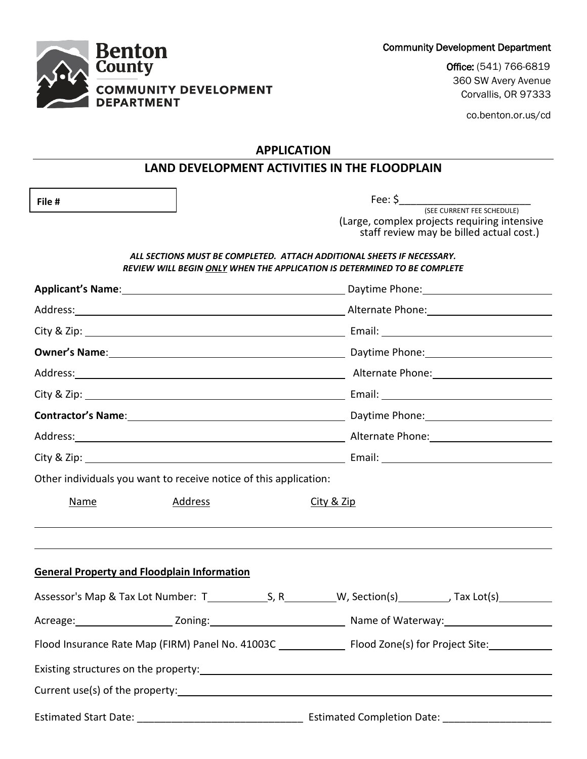Community Development Department



Office: (541) 766-6819 360 SW Avery Avenue Corvallis, OR 97333

co.benton.or.us/cd

## **APPLICATION**

# **LAND DEVELOPMENT ACTIVITIES IN THE FLOODPLAIN**

**File #** 

Fee:  $\zeta$ (SEE CURRENT FEE SCHEDULE) (Large, complex projects requiring intensive

staff review may be billed actual cost.)

#### *ALL SECTIONS MUST BE COMPLETED. ATTACH ADDITIONAL SHEETS IF NECESSARY. REVIEW WILL BEGIN ONLY WHEN THE APPLICATION IS DETERMINED TO BE COMPLETE*

| Address: Address: Address: Address: Address: Address: Address: Address: Address: Address: Address: Address: Address: Address: Address: Address: Address: Address: Address: Address: Address: Address: Address: Address: Addres |  |  | Owner's Name: 1990 Manual Communication of Daytime Phone: 2008 Manual Communication of Daytime Phone:<br>Address: Address: Address: Address: Address: Address: Address: Address: Address: Address: Address: Address: Address: Address: Address: Address: Address: Address: Address: Address: Address: Address: Address: Address: Addres<br>Contractor's Name: 1990 Manual Contractor's Name: 1990 Manual Contractor's Name: 1990 Manual Contractor's Name |  |  |             |                                                                   |  |            |  |
|--------------------------------------------------------------------------------------------------------------------------------------------------------------------------------------------------------------------------------|--|--|-----------------------------------------------------------------------------------------------------------------------------------------------------------------------------------------------------------------------------------------------------------------------------------------------------------------------------------------------------------------------------------------------------------------------------------------------------------|--|--|-------------|-------------------------------------------------------------------|--|------------|--|
|                                                                                                                                                                                                                                |  |  |                                                                                                                                                                                                                                                                                                                                                                                                                                                           |  |  |             |                                                                   |  |            |  |
|                                                                                                                                                                                                                                |  |  |                                                                                                                                                                                                                                                                                                                                                                                                                                                           |  |  |             |                                                                   |  |            |  |
|                                                                                                                                                                                                                                |  |  |                                                                                                                                                                                                                                                                                                                                                                                                                                                           |  |  |             | Other individuals you want to receive notice of this application: |  |            |  |
|                                                                                                                                                                                                                                |  |  |                                                                                                                                                                                                                                                                                                                                                                                                                                                           |  |  | <b>Name</b> | <b>Address</b>                                                    |  | City & Zip |  |
|                                                                                                                                                                                                                                |  |  |                                                                                                                                                                                                                                                                                                                                                                                                                                                           |  |  |             | <b>General Property and Floodplain Information</b>                |  |            |  |
|                                                                                                                                                                                                                                |  |  |                                                                                                                                                                                                                                                                                                                                                                                                                                                           |  |  |             |                                                                   |  |            |  |
|                                                                                                                                                                                                                                |  |  |                                                                                                                                                                                                                                                                                                                                                                                                                                                           |  |  |             |                                                                   |  |            |  |
| Flood Insurance Rate Map (FIRM) Panel No. 41003C ________________ Flood Zone(s) for Project Site: ___________                                                                                                                  |  |  |                                                                                                                                                                                                                                                                                                                                                                                                                                                           |  |  |             |                                                                   |  |            |  |
|                                                                                                                                                                                                                                |  |  |                                                                                                                                                                                                                                                                                                                                                                                                                                                           |  |  |             |                                                                   |  |            |  |
|                                                                                                                                                                                                                                |  |  |                                                                                                                                                                                                                                                                                                                                                                                                                                                           |  |  |             |                                                                   |  |            |  |
|                                                                                                                                                                                                                                |  |  |                                                                                                                                                                                                                                                                                                                                                                                                                                                           |  |  |             |                                                                   |  |            |  |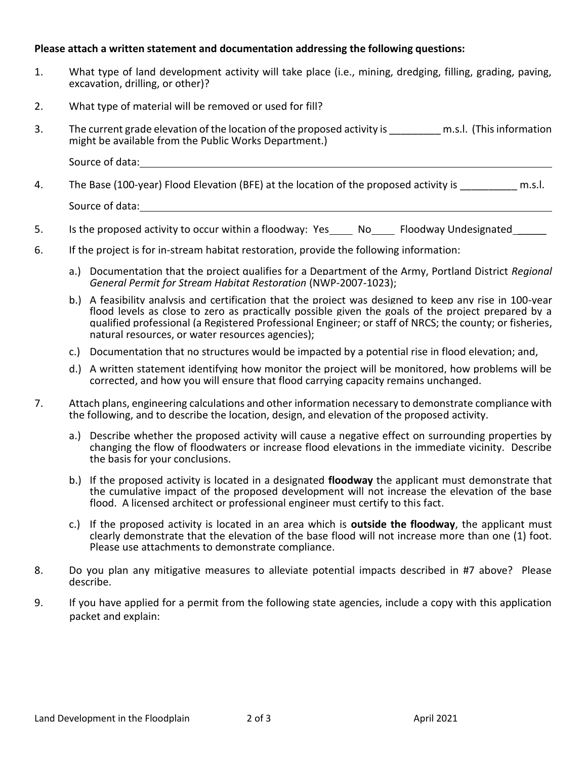## **Please attach a written statement and documentation addressing the following questions:**

- 1. What type of land development activity will take place (i.e., mining, dredging, filling, grading, paving, excavation, drilling, or other)?
- 2. What type of material will be removed or used for fill?
- 3. The current grade elevation of the location of the proposed activity is The subsetion m.s.l. (This information might be available from the Public Works Department.)

Source of data:

- 4. The Base (100-year) Flood Elevation (BFE) at the location of the proposed activity is m.s.l. Source of data: The same state of the state of data:
- 5. Is the proposed activity to occur within a floodway: Yes No Floodway Undesignated
- 6. If the project is for in-stream habitat restoration, provide the following information:
	- a.) Documentation that the project qualifies for a Department of the Army, Portland District *Regional General Permit for Stream Habitat Restoration* (NWP-2007-1023);
	- b.) A feasibility analysis and certification that the project was designed to keep any rise in 100-year flood levels as close to zero as practically possible given the goals of the project prepared by a qualified professional (a Registered Professional Engineer; or staff of NRCS; the county; or fisheries, natural resources, or water resources agencies);
	- c.) Documentation that no structures would be impacted by a potential rise in flood elevation; and,
	- d.) A written statement identifying how monitor the project will be monitored, how problems will be corrected, and how you will ensure that flood carrying capacity remains unchanged.
- 7. Attach plans, engineering calculations and other information necessary to demonstrate compliance with the following, and to describe the location, design, and elevation of the proposed activity.
	- a.) Describe whether the proposed activity will cause a negative effect on surrounding properties by changing the flow of floodwaters or increase flood elevations in the immediate vicinity. Describe the basis for your conclusions.
	- b.) If the proposed activity is located in a designated **floodway** the applicant must demonstrate that the cumulative impact of the proposed development will not increase the elevation of the base flood. A licensed architect or professional engineer must certify to this fact.
	- c.) If the proposed activity is located in an area which is **outside the floodway**, the applicant must clearly demonstrate that the elevation of the base flood will not increase more than one (1) foot. Please use attachments to demonstrate compliance.
- 8. Do you plan any mitigative measures to alleviate potential impacts described in #7 above? Please describe.
- 9. If you have applied for a permit from the following state agencies, include a copy with this application packet and explain: